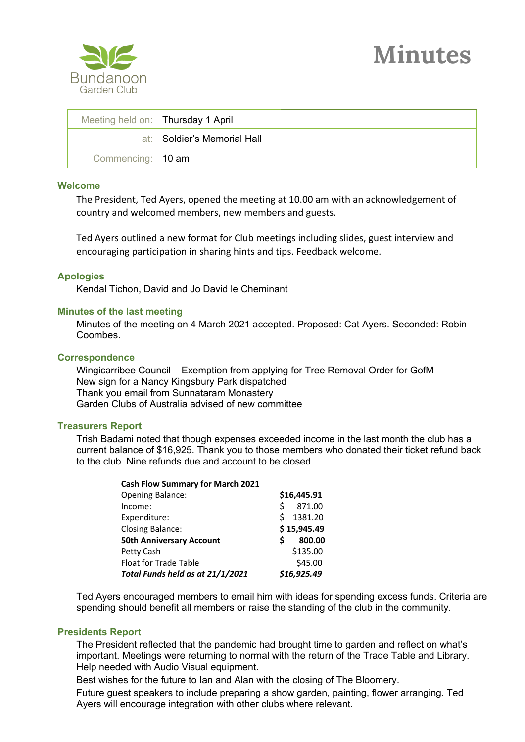



| Meeting held on: Thursday 1 April |                             |
|-----------------------------------|-----------------------------|
|                                   | at: Soldier's Memorial Hall |
| Commencing: 10 am                 |                             |

### **Welcome**

The President, Ted Ayers, opened the meeting at 10.00 am with an acknowledgement of country and welcomed members, new members and guests.

Ted Ayers outlined a new format for Club meetings including slides, guest interview and encouraging participation in sharing hints and tips. Feedback welcome.

### **Apologies**

Kendal Tichon, David and Jo David le Cheminant

### **Minutes of the last meeting**

Minutes of the meeting on 4 March 2021 accepted. Proposed: Cat Ayers. Seconded: Robin Coombes.

#### **Correspondence**

Wingicarribee Council – Exemption from applying for Tree Removal Order for GofM New sign for a Nancy Kingsbury Park dispatched Thank you email from Sunnataram Monastery Garden Clubs of Australia advised of new committee

### **Treasurers Report**

Trish Badami noted that though expenses exceeded income in the last month the club has a current balance of \$16,925. Thank you to those members who donated their ticket refund back to the club. Nine refunds due and account to be closed.

| <b>Cash Flow Summary for March 2021</b> |             |             |  |
|-----------------------------------------|-------------|-------------|--|
| <b>Opening Balance:</b>                 |             | \$16,445.91 |  |
| Income:                                 | Ś           | 871.00      |  |
| Expenditure:                            | S           | 1381.20     |  |
| <b>Closing Balance:</b>                 | \$15,945.49 |             |  |
| <b>50th Anniversary Account</b>         | S           | 800.00      |  |
| Petty Cash                              |             | \$135.00    |  |
| Float for Trade Table                   |             | \$45.00     |  |
| Total Funds held as at 21/1/2021        |             | \$16,925.49 |  |

Ted Ayers encouraged members to email him with ideas for spending excess funds. Criteria are spending should benefit all members or raise the standing of the club in the community.

### **Presidents Report**

The President reflected that the pandemic had brought time to garden and reflect on what's important. Meetings were returning to normal with the return of the Trade Table and Library. Help needed with Audio Visual equipment.

Best wishes for the future to Ian and Alan with the closing of The Bloomery.

Future guest speakers to include preparing a show garden, painting, flower arranging. Ted Ayers will encourage integration with other clubs where relevant.